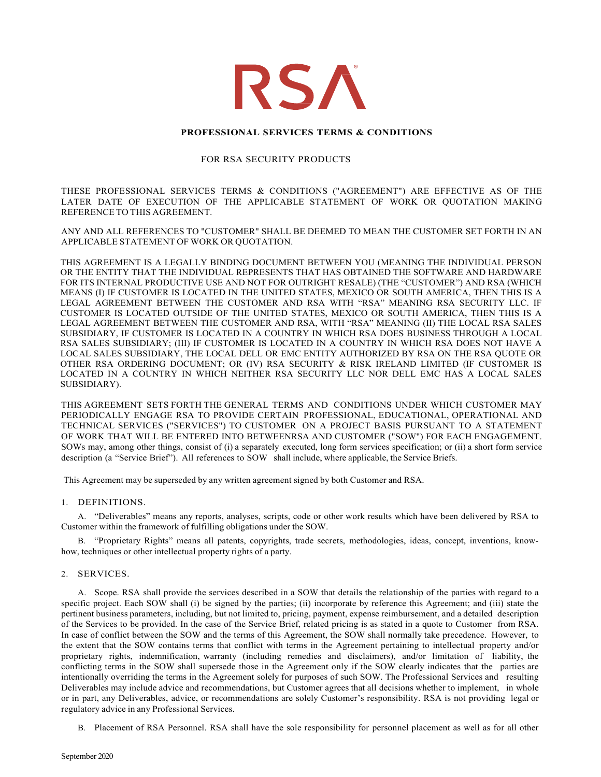

## **PROFESSIONAL SERVICES TERMS & CONDITIONS**

### FOR RSA SECURITY PRODUCTS

THESE PROFESSIONAL SERVICES TERMS & CONDITIONS ("AGREEMENT") ARE EFFECTIVE AS OF THE LATER DATE OF EXECUTION OF THE APPLICABLE STATEMENT OF WORK OR QUOTATION MAKING REFERENCE TO THIS AGREEMENT.

ANY AND ALL REFERENCES TO "CUSTOMER" SHALL BE DEEMED TO MEAN THE CUSTOMER SET FORTH IN AN APPLICABLE STATEMENT OF WORK OR QUOTATION.

THIS AGREEMENT IS A LEGALLY BINDING DOCUMENT BETWEEN YOU (MEANING THE INDIVIDUAL PERSON OR THE ENTITY THAT THE INDIVIDUAL REPRESENTS THAT HAS OBTAINED THE SOFTWARE AND HARDWARE FOR ITS INTERNAL PRODUCTIVE USE AND NOT FOR OUTRIGHT RESALE) (THE "CUSTOMER") AND RSA (WHICH MEANS (I) IF CUSTOMER IS LOCATED IN THE UNITED STATES, MEXICO OR SOUTH AMERICA, THEN THIS IS A LEGAL AGREEMENT BETWEEN THE CUSTOMER AND RSA WITH "RSA" MEANING RSA SECURITY LLC. IF CUSTOMER IS LOCATED OUTSIDE OF THE UNITED STATES, MEXICO OR SOUTH AMERICA, THEN THIS IS A LEGAL AGREEMENT BETWEEN THE CUSTOMER AND RSA, WITH "RSA" MEANING (II) THE LOCAL RSA SALES SUBSIDIARY, IF CUSTOMER IS LOCATED IN A COUNTRY IN WHICH RSA DOES BUSINESS THROUGH A LOCAL RSA SALES SUBSIDIARY; (III) IF CUSTOMER IS LOCATED IN A COUNTRY IN WHICH RSA DOES NOT HAVE A LOCAL SALES SUBSIDIARY, THE LOCAL DELL OR EMC ENTITY AUTHORIZED BY RSA ON THE RSA QUOTE OR OTHER RSA ORDERING DOCUMENT; OR (IV) RSA SECURITY & RISK IRELAND LIMITED (IF CUSTOMER IS LOCATED IN A COUNTRY IN WHICH NEITHER RSA SECURITY LLC NOR DELL EMC HAS A LOCAL SALES SUBSIDIARY).

THIS AGREEMENT SETS FORTH THE GENERAL TERMS AND CONDITIONS UNDER WHICH CUSTOMER MAY PERIODICALLY ENGAGE RSA TO PROVIDE CERTAIN PROFESSIONAL, EDUCATIONAL, OPERATIONAL AND TECHNICAL SERVICES ("SERVICES") TO CUSTOMER ON A PROJECT BASIS PURSUANT TO A STATEMENT OF WORK THAT WILL BE ENTERED INTO BETWEENRSA AND CUSTOMER ("SOW") FOR EACH ENGAGEMENT. SOWs may, among other things, consist of (i) a separately executed, long form services specification; or (ii) a short form service description (a "Service Brief"). All references to SOW shall include, where applicable, the Service Briefs.

This Agreement may be superseded by any written agreement signed by both Customer and RSA.

### 1. DEFINITIONS.

A. "Deliverables" means any reports, analyses, scripts, code or other work results which have been delivered by RSA to Customer within the framework of fulfilling obligations under the SOW.

B. "Proprietary Rights" means all patents, copyrights, trade secrets, methodologies, ideas, concept, inventions, knowhow, techniques or other intellectual property rights of a party.

### 2. SERVICES.

A. Scope. RSA shall provide the services described in a SOW that details the relationship of the parties with regard to a specific project. Each SOW shall (i) be signed by the parties; (ii) incorporate by reference this Agreement; and (iii) state the pertinent business parameters, including, but not limited to, pricing, payment, expense reimbursement, and a detailed description of the Services to be provided. In the case of the Service Brief, related pricing is as stated in a quote to Customer from RSA. In case of conflict between the SOW and the terms of this Agreement, the SOW shall normally take precedence. However, to the extent that the SOW contains terms that conflict with terms in the Agreement pertaining to intellectual property and/or proprietary rights, indemnification, warranty (including remedies and disclaimers), and/or limitation of liability, the conflicting terms in the SOW shall supersede those in the Agreement only if the SOW clearly indicates that the parties are intentionally overriding the terms in the Agreement solely for purposes of such SOW. The Professional Services and resulting Deliverables may include advice and recommendations, but Customer agrees that all decisions whether to implement, in whole or in part, any Deliverables, advice, or recommendations are solely Customer's responsibility. RSA is not providing legal or regulatory advice in any Professional Services.

B. Placement of RSA Personnel. RSA shall have the sole responsibility for personnel placement as well as for all other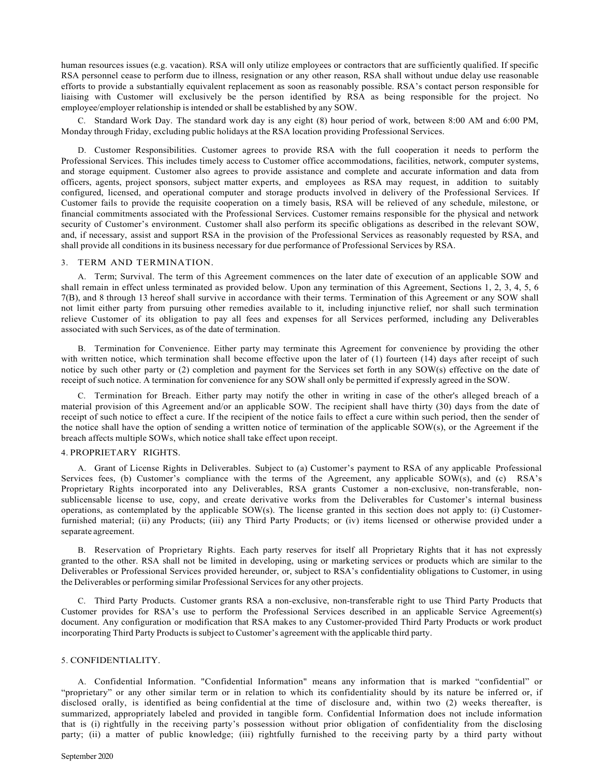human resources issues (e.g. vacation). RSA will only utilize employees or contractors that are sufficiently qualified. If specific RSA personnel cease to perform due to illness, resignation or any other reason, RSA shall without undue delay use reasonable efforts to provide a substantially equivalent replacement as soon as reasonably possible. RSA's contact person responsible for liaising with Customer will exclusively be the person identified by RSA as being responsible for the project. No employee/employer relationship is intended or shall be established by any SOW.

C. Standard Work Day. The standard work day is any eight (8) hour period of work, between 8:00 AM and 6:00 PM, Monday through Friday, excluding public holidays at the RSA location providing Professional Services.

D. Customer Responsibilities. Customer agrees to provide RSA with the full cooperation it needs to perform the Professional Services. This includes timely access to Customer office accommodations, facilities, network, computer systems, and storage equipment. Customer also agrees to provide assistance and complete and accurate information and data from officers, agents, project sponsors, subject matter experts, and employees as RSA may request, in addition to suitably configured, licensed, and operational computer and storage products involved in delivery of the Professional Services. If Customer fails to provide the requisite cooperation on a timely basis, RSA will be relieved of any schedule, milestone, or financial commitments associated with the Professional Services. Customer remains responsible for the physical and network security of Customer's environment. Customer shall also perform its specific obligations as described in the relevant SOW, and, if necessary, assist and support RSA in the provision of the Professional Services as reasonably requested by RSA, and shall provide all conditions in its business necessary for due performance of Professional Services by RSA.

#### 3. TERM AND TERMINATION.

A. Term; Survival. The term of this Agreement commences on the later date of execution of an applicable SOW and shall remain in effect unless terminated as provided below. Upon any termination of this Agreement, Sections 1, 2, 3, 4, 5, 6 7(B), and 8 through 13 hereof shall survive in accordance with their terms. Termination of this Agreement or any SOW shall not limit either party from pursuing other remedies available to it, including injunctive relief, nor shall such termination relieve Customer of its obligation to pay all fees and expenses for all Services performed, including any Deliverables associated with such Services, as of the date of termination.

B. Termination for Convenience. Either party may terminate this Agreement for convenience by providing the other with written notice, which termination shall become effective upon the later of (1) fourteen (14) days after receipt of such notice by such other party or (2) completion and payment for the Services set forth in any SOW(s) effective on the date of receipt of such notice. A termination for convenience for any SOW shall only be permitted if expressly agreed in the SOW.

C. Termination for Breach. Either party may notify the other in writing in case of the other's alleged breach of a material provision of this Agreement and/or an applicable SOW. The recipient shall have thirty (30) days from the date of receipt of such notice to effect a cure. If the recipient of the notice fails to effect a cure within such period, then the sender of the notice shall have the option of sending a written notice of termination of the applicable SOW(s), or the Agreement if the breach affects multiple SOWs, which notice shall take effect upon receipt.

### 4. PROPRIETARY RIGHTS.

A. Grant of License Rights in Deliverables. Subject to (a) Customer's payment to RSA of any applicable Professional Services fees, (b) Customer's compliance with the terms of the Agreement, any applicable SOW(s), and (c) RSA's Proprietary Rights incorporated into any Deliverables, RSA grants Customer a non-exclusive, non-transferable, nonsublicensable license to use, copy, and create derivative works from the Deliverables for Customer's internal business operations, as contemplated by the applicable SOW(s). The license granted in this section does not apply to: (i) Customerfurnished material; (ii) any Products; (iii) any Third Party Products; or (iv) items licensed or otherwise provided under a separate agreement.

B. Reservation of Proprietary Rights. Each party reserves for itself all Proprietary Rights that it has not expressly granted to the other. RSA shall not be limited in developing, using or marketing services or products which are similar to the Deliverables or Professional Services provided hereunder, or, subject to RSA's confidentiality obligations to Customer, in using the Deliverables or performing similar Professional Services for any other projects.

C. Third Party Products. Customer grants RSA a non-exclusive, non-transferable right to use Third Party Products that Customer provides for RSA's use to perform the Professional Services described in an applicable Service Agreement(s) document. Any configuration or modification that RSA makes to any Customer-provided Third Party Products or work product incorporating Third Party Products issubject to Customer's agreement with the applicable third party.

### 5. CONFIDENTIALITY.

A. Confidential Information. "Confidential Information" means any information that is marked "confidential" or "proprietary" or any other similar term or in relation to which its confidentiality should by its nature be inferred or, if disclosed orally, is identified as being confidential at the time of disclosure and, within two (2) weeks thereafter, is summarized, appropriately labeled and provided in tangible form. Confidential Information does not include information that is (i) rightfully in the receiving party's possession without prior obligation of confidentiality from the disclosing party; (ii) a matter of public knowledge; (iii) rightfully furnished to the receiving party by a third party without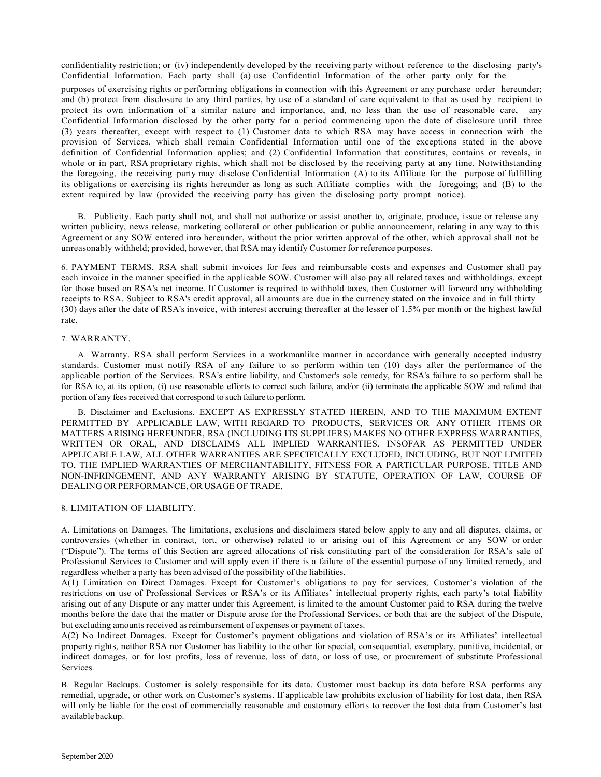confidentiality restriction; or (iv) independently developed by the receiving party without reference to the disclosing party's Confidential Information. Each party shall (a) use Confidential Information of the other party only for the

purposes of exercising rights or performing obligations in connection with this Agreement or any purchase order hereunder; and (b) protect from disclosure to any third parties, by use of a standard of care equivalent to that as used by recipient to protect its own information of a similar nature and importance, and, no less than the use of reasonable care, any Confidential Information disclosed by the other party for a period commencing upon the date of disclosure until three (3) years thereafter, except with respect to (1) Customer data to which RSA may have access in connection with the provision of Services, which shall remain Confidential Information until one of the exceptions stated in the above definition of Confidential Information applies; and (2) Confidential Information that constitutes, contains or reveals, in whole or in part, RSA proprietary rights, which shall not be disclosed by the receiving party at any time. Notwithstanding the foregoing, the receiving party may disclose Confidential Information (A) to its Affiliate for the purpose of fulfilling its obligations or exercising its rights hereunder as long as such Affiliate complies with the foregoing; and (B) to the extent required by law (provided the receiving party has given the disclosing party prompt notice).

B. Publicity. Each party shall not, and shall not authorize or assist another to, originate, produce, issue or release any written publicity, news release, marketing collateral or other publication or public announcement, relating in any way to this Agreement or any SOW entered into hereunder, without the prior written approval of the other, which approval shall not be unreasonably withheld; provided, however, that RSA may identify Customer for reference purposes.

6. PAYMENT TERMS. RSA shall submit invoices for fees and reimbursable costs and expenses and Customer shall pay each invoice in the manner specified in the applicable SOW. Customer will also pay all related taxes and withholdings, except for those based on RSA's net income. If Customer is required to withhold taxes, then Customer will forward any withholding receipts to RSA. Subject to RSA's credit approval, all amounts are due in the currency stated on the invoice and in full thirty (30) days after the date of RSA's invoice, with interest accruing thereafter at the lesser of 1.5% per month or the highest lawful rate.

### 7. WARRANTY.

A. Warranty. RSA shall perform Services in a workmanlike manner in accordance with generally accepted industry standards. Customer must notify RSA of any failure to so perform within ten (10) days after the performance of the applicable portion of the Services. RSA's entire liability, and Customer's sole remedy, for RSA's failure to so perform shall be for RSA to, at its option, (i) use reasonable efforts to correct such failure, and/or (ii) terminate the applicable SOW and refund that portion of any fees received that correspond to such failure to perform.

B. Disclaimer and Exclusions. EXCEPT AS EXPRESSLY STATED HEREIN, AND TO THE MAXIMUM EXTENT PERMITTED BY APPLICABLE LAW, WITH REGARD TO PRODUCTS, SERVICES OR ANY OTHER ITEMS OR MATTERS ARISING HEREUNDER, RSA (INCLUDING ITS SUPPLIERS) MAKES NO OTHER EXPRESS WARRANTIES, WRITTEN OR ORAL, AND DISCLAIMS ALL IMPLIED WARRANTIES. INSOFAR AS PERMITTED UNDER APPLICABLE LAW, ALL OTHER WARRANTIES ARE SPECIFICALLY EXCLUDED, INCLUDING, BUT NOT LIMITED TO, THE IMPLIED WARRANTIES OF MERCHANTABILITY, FITNESS FOR A PARTICULAR PURPOSE, TITLE AND NON-INFRINGEMENT, AND ANY WARRANTY ARISING BY STATUTE, OPERATION OF LAW, COURSE OF DEALING OR PERFORMANCE, OR USAGE OF TRADE.

## 8. LIMITATION OF LIABILITY.

A. Limitations on Damages. The limitations, exclusions and disclaimers stated below apply to any and all disputes, claims, or controversies (whether in contract, tort, or otherwise) related to or arising out of this Agreement or any SOW or order ("Dispute"). The terms of this Section are agreed allocations of risk constituting part of the consideration for RSA's sale of Professional Services to Customer and will apply even if there is a failure of the essential purpose of any limited remedy, and regardless whether a party has been advised of the possibility of the liabilities.

A(1) Limitation on Direct Damages. Except for Customer's obligations to pay for services, Customer's violation of the restrictions on use of Professional Services or RSA's or its Affiliates' intellectual property rights, each party's total liability arising out of any Dispute or any matter under this Agreement, is limited to the amount Customer paid to RSA during the twelve months before the date that the matter or Dispute arose for the Professional Services, or both that are the subject of the Dispute, but excluding amounts received as reimbursement of expenses or payment of taxes.

A(2) No Indirect Damages. Except for Customer's payment obligations and violation of RSA's or its Affiliates' intellectual property rights, neither RSA nor Customer has liability to the other for special, consequential, exemplary, punitive, incidental, or indirect damages, or for lost profits, loss of revenue, loss of data, or loss of use, or procurement of substitute Professional Services.

B. Regular Backups. Customer is solely responsible for its data. Customer must backup its data before RSA performs any remedial, upgrade, or other work on Customer's systems. If applicable law prohibits exclusion of liability for lost data, then RSA will only be liable for the cost of commercially reasonable and customary efforts to recover the lost data from Customer's last available backup.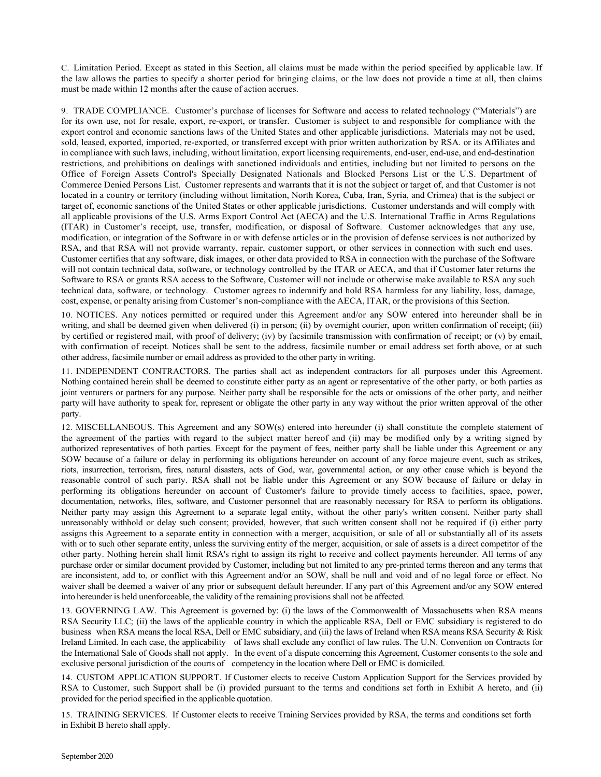C. Limitation Period. Except as stated in this Section, all claims must be made within the period specified by applicable law. If the law allows the parties to specify a shorter period for bringing claims, or the law does not provide a time at all, then claims must be made within 12 months after the cause of action accrues.

9. TRADE COMPLIANCE. Customer's purchase of licenses for Software and access to related technology ("Materials") are for its own use, not for resale, export, re-export, or transfer. Customer is subject to and responsible for compliance with the export control and economic sanctions laws of the United States and other applicable jurisdictions. Materials may not be used, sold, leased, exported, imported, re-exported, or transferred except with prior written authorization by RSA. or its Affiliates and in compliance with such laws, including, without limitation, export licensing requirements, end-user, end-use, and end-destination restrictions, and prohibitions on dealings with sanctioned individuals and entities, including but not limited to persons on the Office of Foreign Assets Control's Specially Designated Nationals and Blocked Persons List or the U.S. Department of Commerce Denied Persons List. Customer represents and warrants that it is not the subject or target of, and that Customer is not located in a country or territory (including without limitation, North Korea, Cuba, Iran, Syria, and Crimea) that is the subject or target of, economic sanctions of the United States or other applicable jurisdictions. Customer understands and will comply with all applicable provisions of the U.S. Arms Export Control Act (AECA) and the U.S. International Traffic in Arms Regulations (ITAR) in Customer's receipt, use, transfer, modification, or disposal of Software. Customer acknowledges that any use, modification, or integration of the Software in or with defense articles or in the provision of defense services is not authorized by RSA, and that RSA will not provide warranty, repair, customer support, or other services in connection with such end uses. Customer certifies that any software, disk images, or other data provided to RSA in connection with the purchase of the Software will not contain technical data, software, or technology controlled by the ITAR or AECA, and that if Customer later returns the Software to RSA or grants RSA access to the Software, Customer will not include or otherwise make available to RSA any such technical data, software, or technology. Customer agrees to indemnify and hold RSA harmless for any liability, loss, damage, cost, expense, or penalty arising from Customer's non-compliance with the AECA, ITAR, or the provisions of this Section.

10. NOTICES. Any notices permitted or required under this Agreement and/or any SOW entered into hereunder shall be in writing, and shall be deemed given when delivered (i) in person; (ii) by overnight courier, upon written confirmation of receipt; (iii) by certified or registered mail, with proof of delivery; (iv) by facsimile transmission with confirmation of receipt; or (v) by email, with confirmation of receipt. Notices shall be sent to the address, facsimile number or email address set forth above, or at such other address, facsimile number or email address as provided to the other party in writing.

11. INDEPENDENT CONTRACTORS. The parties shall act as independent contractors for all purposes under this Agreement. Nothing contained herein shall be deemed to constitute either party as an agent or representative of the other party, or both parties as joint venturers or partners for any purpose. Neither party shall be responsible for the acts or omissions of the other party, and neither party will have authority to speak for, represent or obligate the other party in any way without the prior written approval of the other party.

12. MISCELLANEOUS. This Agreement and any SOW(s) entered into hereunder (i) shall constitute the complete statement of the agreement of the parties with regard to the subject matter hereof and (ii) may be modified only by a writing signed by authorized representatives of both parties. Except for the payment of fees, neither party shall be liable under this Agreement or any SOW because of a failure or delay in performing its obligations hereunder on account of any force majeure event, such as strikes, riots, insurrection, terrorism, fires, natural disasters, acts of God, war, governmental action, or any other cause which is beyond the reasonable control of such party. RSA shall not be liable under this Agreement or any SOW because of failure or delay in performing its obligations hereunder on account of Customer's failure to provide timely access to facilities, space, power, documentation, networks, files, software, and Customer personnel that are reasonably necessary for RSA to perform its obligations. Neither party may assign this Agreement to a separate legal entity, without the other party's written consent. Neither party shall unreasonably withhold or delay such consent; provided, however, that such written consent shall not be required if (i) either party assigns this Agreement to a separate entity in connection with a merger, acquisition, or sale of all or substantially all of its assets with or to such other separate entity, unless the surviving entity of the merger, acquisition, or sale of assets is a direct competitor of the other party. Nothing herein shall limit RSA's right to assign its right to receive and collect payments hereunder. All terms of any purchase order or similar document provided by Customer, including but not limited to any pre-printed terms thereon and any terms that are inconsistent, add to, or conflict with this Agreement and/or an SOW, shall be null and void and of no legal force or effect. No waiver shall be deemed a waiver of any prior or subsequent default hereunder. If any part of this Agreement and/or any SOW entered into hereunder is held unenforceable, the validity of the remaining provisionsshall not be affected.

13. GOVERNING LAW. This Agreement is governed by: (i) the laws of the Commonwealth of Massachusetts when RSA means RSA Security LLC; (ii) the laws of the applicable country in which the applicable RSA, Dell or EMC subsidiary is registered to do business when RSA means the local RSA, Dell or EMC subsidiary, and (iii) the laws of Ireland when RSA means RSA Security & Risk Ireland Limited. In each case, the applicability of laws shall exclude any conflict of law rules. The U.N. Convention on Contracts for the International Sale of Goods shall not apply. In the event of a dispute concerning this Agreement, Customer consents to the sole and exclusive personal jurisdiction of the courts of competency in the location where Dell or EMC is domiciled.

14. CUSTOM APPLICATION SUPPORT. If Customer elects to receive Custom Application Support for the Services provided by RSA to Customer, such Support shall be (i) provided pursuant to the terms and conditions set forth in Exhibit A hereto, and (ii) provided for the period specified in the applicable quotation.

15. TRAINING SERVICES. If Customer elects to receive Training Services provided by RSA, the terms and conditions set forth in Exhibit B hereto shall apply.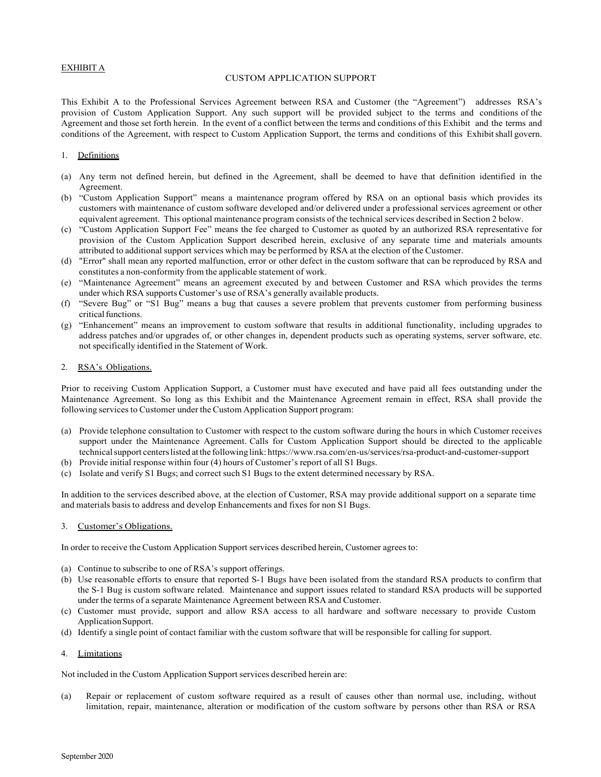## EXHIBIT A

### CUSTOM APPLICATION SUPPORT

This Exhibit A to the Professional Services Agreement between RSA and Customer (the "Agreement") addresses RSA's provision of Custom Application Support. Any such support will be provided subject to the terms and conditions of the Agreement and those set forth herein. In the event of a conflict between the terms and conditions of this Exhibit and the terms and conditions of the Agreement, with respect to Custom Application Support, the terms and conditions of this Exhibitshall govern.

### 1. Definitions

- (a) Any term not defined herein, but defined in the Agreement, shall be deemed to have that definition identified in the Agreement.
- (b) "Custom Application Support" means a maintenance program offered by RSA on an optional basis which provides its customers with maintenance of custom software developed and/or delivered under a professional services agreement or other equivalent agreement. This optional maintenance program consists of the technical services described in Section 2 below.
- (c) "Custom Application Support Fee" means the fee charged to Customer as quoted by an authorized RSA representative for provision of the Custom Application Support described herein, exclusive of any separate time and materials amounts attributed to additional support services which may be performed by RSA at the election of the Customer.
- (d) "Error" shall mean any reported malfunction, error or other defect in the custom software that can be reproduced by RSA and constitutes a non-conformity from the applicable statement of work.
- (e) "Maintenance Agreement" means an agreement executed by and between Customer and RSA which provides the terms under which RSA supports Customer's use of RSA's generally available products.
- (f) "Severe Bug" or "S1 Bug" means a bug that causes a severe problem that prevents customer from performing business critical functions.
- (g) "Enhancement" means an improvement to custom software that results in additional functionality, including upgrades to address patches and/or upgrades of, or other changes in, dependent products such as operating systems, server software, etc. not specifically identified in the Statement of Work.

### 2. RSA's Obligations.

Prior to receiving Custom Application Support, a Customer must have executed and have paid all fees outstanding under the Maintenance Agreement. So long as this Exhibit and the Maintenance Agreement remain in effect, RSA shall provide the following services to Customer under the Custom Application Support program:

- (a) Provide telephone consultation to Customer with respect to the custom software during the hours in which Customer receives support under the Maintenance Agreement. Calls for Custom Application Support should be directed to the applicable technical support centers listed at the following link: https:/[/www.rsa.com/en-us/services/rsa-product-and-customer-support](http://www.rsa.com/en-us/services/rsa-product-and-customer-support)
- (b) Provide initial response within four (4) hours of Customer's report of all S1 Bugs.
- (c) Isolate and verify S1 Bugs; and correct such S1 Bugs to the extent determined necessary by RSA.

In addition to the services described above, at the election of Customer, RSA may provide additional support on a separate time and materials basisto address and develop Enhancements and fixes for non S1 Bugs.

3. Customer's Obligations.

In order to receive the Custom Application Support services described herein, Customer agreesto:

- (a) Continue to subscribe to one of RSA's support offerings.
- (b) Use reasonable efforts to ensure that reported S-1 Bugs have been isolated from the standard RSA products to confirm that the S-1 Bug is custom software related. Maintenance and support issues related to standard RSA products will be supported under the terms of a separate Maintenance Agreement between RSA and Customer.
- (c) Customer must provide, support and allow RSA access to all hardware and software necessary to provide Custom ApplicationSupport.
- (d) Identify a single point of contact familiar with the custom software that will be responsible for calling for support.

### 4. Limitations

Not included in the Custom Application Support services described herein are:

(a) Repair or replacement of custom software required as a result of causes other than normal use, including, without limitation, repair, maintenance, alteration or modification of the custom software by persons other than RSA or RSA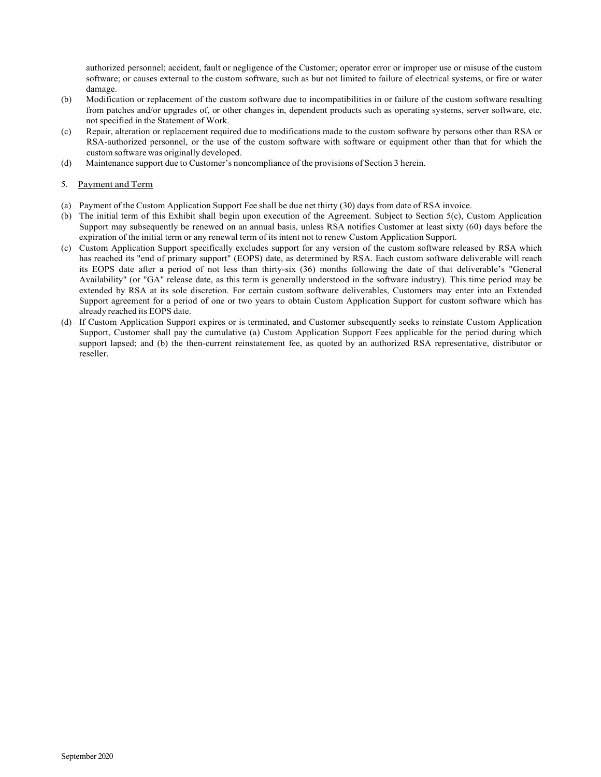authorized personnel; accident, fault or negligence of the Customer; operator error or improper use or misuse of the custom software; or causes external to the custom software, such as but not limited to failure of electrical systems, or fire or water damage.

- (b) Modification or replacement of the custom software due to incompatibilities in or failure of the custom software resulting from patches and/or upgrades of, or other changes in, dependent products such as operating systems, server software, etc. not specified in the Statement of Work.
- (c) Repair, alteration or replacement required due to modifications made to the custom software by persons other than RSA or RSA-authorized personnel, or the use of the custom software with software or equipment other than that for which the custom software was originally developed.
- (d) Maintenance support due to Customer's noncompliance of the provisions of Section 3 herein.

# 5. Payment and Term

- (a) Payment of the Custom Application Support Fee shall be due net thirty (30) days from date of RSA invoice.
- (b) The initial term of this Exhibit shall begin upon execution of the Agreement. Subject to Section 5(c), Custom Application Support may subsequently be renewed on an annual basis, unless RSA notifies Customer at least sixty (60) days before the expiration of the initial term or any renewal term of its intent not to renew Custom Application Support.
- (c) Custom Application Support specifically excludes support for any version of the custom software released by RSA which has reached its "end of primary support" (EOPS) date, as determined by RSA. Each custom software deliverable will reach its EOPS date after a period of not less than thirty-six (36) months following the date of that deliverable's "General Availability" (or "GA" release date, as this term is generally understood in the software industry). This time period may be extended by RSA at its sole discretion. For certain custom software deliverables, Customers may enter into an Extended Support agreement for a period of one or two years to obtain Custom Application Support for custom software which has already reached its EOPS date.
- (d) If Custom Application Support expires or is terminated, and Customer subsequently seeks to reinstate Custom Application Support, Customer shall pay the cumulative (a) Custom Application Support Fees applicable for the period during which support lapsed; and (b) the then-current reinstatement fee, as quoted by an authorized RSA representative, distributor or reseller.